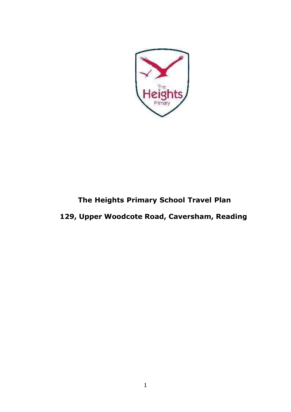

# **The Heights Primary School Travel Plan**

**129, Upper Woodcote Road, Caversham, Reading**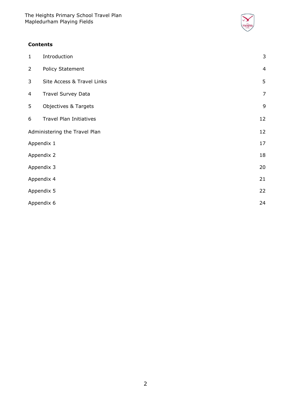

# **Contents**

| $\mathbf{1}$                  | Introduction               | $\mathsf{3}$   |
|-------------------------------|----------------------------|----------------|
| $\overline{2}$                | Policy Statement           | 4              |
| 3                             | Site Access & Travel Links | 5              |
| 4                             | Travel Survey Data         | $\overline{7}$ |
| 5                             | Objectives & Targets       | 9              |
| 6                             | Travel Plan Initiatives    | 12             |
| Administering the Travel Plan |                            | 12             |
| Appendix 1                    |                            | 17             |
| Appendix 2                    |                            | 18             |
| Appendix 3                    |                            | 20             |
| Appendix 4                    |                            | 21             |
| Appendix 5                    |                            | 22             |
| Appendix 6                    |                            | 24             |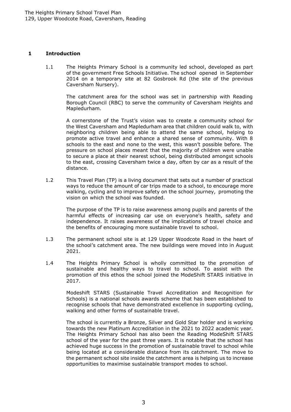#### <span id="page-2-0"></span>**1 Introduction**

1.1 The Heights Primary School is a community led school, developed as part of the government Free Schools Initiative. The school opened in September 2014 on a temporary site at 82 Gosbrook Rd (the site of the previous Caversham Nursery).

The catchment area for the school was set in partnership with Reading Borough Council (RBC) to serve the community of Caversham Heights and Mapledurham.

A cornerstone of the Trust's vision was to create a community school for the West Caversham and Mapledurham area that children could walk to, with neighboring children being able to attend the same school, helping to promote active travel and enhance a shared sense of community. With 8 schools to the east and none to the west, this wasn't possible before. The pressure on school places meant that the majority of children were unable to secure a place at their nearest school, being distributed amongst schools to the east, crossing Caversham twice a day, often by car as a result of the distance.

1.2 This Travel Plan (TP) is a living document that sets out a number of practical ways to reduce the amount of car trips made to a school, to encourage more walking, cycling and to improve safety on the school journey, promoting the vision on which the school was founded.

The purpose of the TP is to raise awareness among pupils and parents of the harmful effects of increasing car use on everyone's health, safety and independence. It raises awareness of the implications of travel choice and the benefits of encouraging more sustainable travel to school.

- 1.3 The permanent school site is at 129 Upper Woodcote Road in the heart of the school's catchment area. The new buildings were moved into in August 2021.
- 1.4 The Heights Primary School is wholly committed to the promotion of sustainable and healthy ways to travel to school. To assist with the promotion of this ethos the school joined the ModeShift STARS initiative in 2017.

Modeshift STARS (Sustainable Travel Accreditation and Recognition for Schools) is a national schools awards scheme that has been established to recognise schools that have demonstrated excellence in supporting cycling, walking and other forms of sustainable travel.

The school is currently a Bronze, Silver and Gold Star holder and is working towards the new Platinum Accreditation in the 2021 to 2022 academic year. The Heights Primary School has also been the Reading ModeShift STARS school of the year for the past three years. It is notable that the school has achieved huge success in the promotion of sustainable travel to school while being located at a considerable distance from its catchment. The move to the permanent school site inside the catchment area is helping us to increase opportunities to maximise sustainable transport modes to school.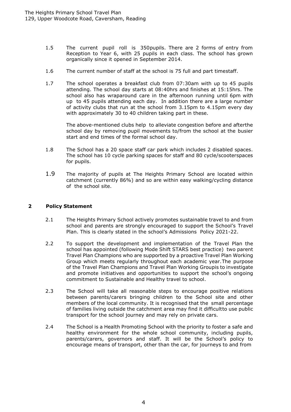- 1.5 The current pupil roll is 350pupils. There are 2 forms of entry from Reception to Year 6, with 25 pupils in each class. The school has grown organically since it opened in September 2014.
- 1.6 The current number of staff at the school is 75 full and part timestaff.
- 1.7 The school operates a breakfast club from 07:30am with up to 45 pupils attending. The school day starts at 08:40hrs and finishes at 15:15hrs. The school also has wraparound care in the afternoon running until 6pm with up to 45 pupils attending each day. In addition there are a large number of activity clubs that run at the school from 3.15pm to 4.15pm every day with approximately 30 to 40 children taking part in these.

The above-mentioned clubs help to alleviate congestion before and afterthe school day by removing pupil movements to/from the school at the busier start and end times of the formal school day.

- 1.8 The School has a 20 space staff car park which includes 2 disabled spaces. The school has 10 cycle parking spaces for staff and 80 cycle/scooterspaces for pupils.
- 1.9 The majority of pupils at The Heights Primary School are located within catchment (currently 86%) and so are within easy walking/cycling distance of the school site.

# <span id="page-3-0"></span>**2 Policy Statement**

- 2.1 The Heights Primary School actively promotes sustainable travel to and from school and parents are strongly encouraged to support the School's Travel Plan. This is clearly stated in the school's Admissions Policy 2021-22.
- 2.2 To support the development and implementation of the Travel Plan the school has appointed (following Mode Shift STARS best practice) two parent Travel Plan Champions who are supported by a proactive Travel Plan Working Group which meets regularly throughout each academic year.The purpose of the Travel Plan Champions and Travel Plan Working Groupis to investigate and promote initiatives and opportunities to support the school's ongoing commitment to Sustainable and Healthy travel to school.
- 2.3 The School will take all reasonable steps to encourage positive relations between parents/carers bringing children to the School site and other members of the local community. It is recognised that the small percentage of families living outside the catchment area may find it difficultto use public transport for the school journey and may rely on private cars.
- 2.4 The School is a Health Promoting School with the priority to foster a safe and healthy environment for the whole school community, including pupils, parents/carers, governors and staff. It will be the School's policy to encourage means of transport, other than the car, for journeys to and from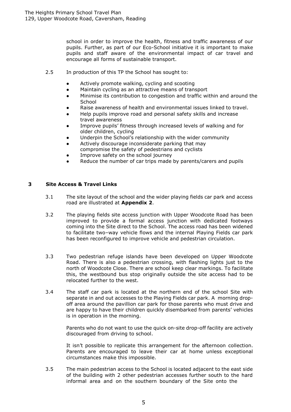school in order to improve the health, fitness and traffic awareness of our pupils. Further, as part of our Eco-School initiative it is important to make pupils and staff aware of the environmental impact of car travel and encourage all forms of sustainable transport.

- 2.5 In production of this TP the School has sought to:
	- Actively promote walking, cycling and scooting
	- Maintain cycling as an attractive means of transport
	- Minimise its contribution to congestion and traffic within and around the **School**
	- Raise awareness of health and environmental issues linked to travel.
	- Help pupils improve road and personal safety skills and increase travel awareness
	- Improve pupils' fitness through increased levels of walking and for older children, cycling
	- Underpin the School's relationship with the wider community
	- Actively discourage inconsiderate parking that may compromise the safety of pedestrians and cyclists
	- Improve safety on the school journey
	- Reduce the number of car trips made by parents/carers and pupils

#### <span id="page-4-0"></span>**3 Site Access & Travel Links**

- 3.1 The site layout of the school and the wider playing fields car park and access road are illustrated at **Appendix 2**.
- 3.2 The playing fields site access junction with Upper Woodcote Road has been improved to provide a formal access junction with dedicated footways coming into the Site direct to the School. The access road has been widened to facilitate two–way vehicle flows and the internal Playing Fields car park has been reconfigured to improve vehicle and pedestrian circulation.
- 3.3 Two pedestrian refuge islands have been developed on Upper Woodcote Road. There is also a pedestrian crossing, with flashing lights just to the north of Woodcote Close. There are school keep clear markings. To facilitate this, the westbound bus stop originally outside the site access had to be relocated further to the west.
- 3.4 The staff car park is located at the northern end of the school Site with separate in and out accesses to the Playing Fields car park. A morning dropoff area around the pavillion car park for those parents who must drive and are happy to have their children quickly disembarked from parents' vehicles is in operation in the morning.

Parents who do not want to use the quick on-site drop-off facility are actively discouraged from driving to school.

It isn't possible to replicate this arrangement for the afternoon collection. Parents are encouraged to leave their car at home unless exceptional circumstances make this impossible.

3.5 The main pedestrian access to the School is located adjacent to the east side of the building with 2 other pedestrian accesses further south to the hard informal area and on the southern boundary of the Site onto the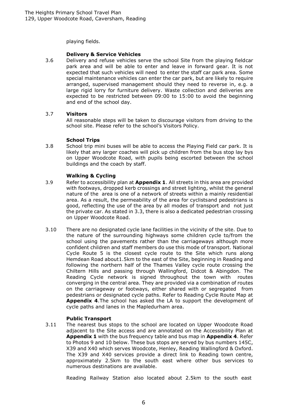playing fields.

#### **Delivery & Service Vehicles**

3.6 Delivery and refuse vehicles serve the school Site from the playing fieldcar park area and will be able to enter and leave in forward gear. It is not expected that such vehicles will need to enter the staff car park area. Some special maintenance vehicles can enter the car park, but are likely to require arranged, supervised management should they need to reverse in, e.g. a large rigid lorry for furniture delivery. Waste collection and deliveries are expected to be restricted between 09:00 to 15:00 to avoid the beginning and end of the school day.

#### 3.7 **Visitors**

All reasonable steps will be taken to discourage visitors from driving to the school site. Please refer to the school's Visitors Policy.

#### **School Trips**

3.8 School trip mini buses will be able to access the Playing Field car park. It is likely that any larger coaches will pick up children from the bus stop lay bys on Upper Woodcote Road, with pupils being escorted between the school buildings and the coach by staff.

# **Walking & Cycling**

- 3.9 Refer to accessibility plan at **Appendix 1**. All streets in this area are provided with footways, dropped kerb crossings and street lighting, whilst the general nature of the area is one of a network of streets within a mainly residential area. As a result, the permeability of the area for cyclistsand pedestrians is good, reflecting the use of the area by all modes of transport and not just the private car. As stated in 3.3, there is also a dedicated pedestrian crossing on Upper Woodcote Road.
- 3.10 There are no designated cycle lane facilities in the vicinity of the site. Due to the nature of the surrounding highways some children cycle to/from the school using the pavements rather than the carriageways although more confident children and staff members do use this mode of transport. National Cycle Route 5 is the closest cycle route to the Site which runs along Hemdean Road about1.5km to the east of the Site, beginning in Reading and following the northern half of the Thames Valley cycle route crossing the Chiltern Hills and passing through Wallingford, Didcot & Abingdon. The Reading Cycle network is signed throughout the town with routes converging in the central area. They are provided via a combination of routes on the carriageway or footways, either shared with or segregated from pedestrians or designated cycle paths. Refer to Reading Cycle Route Map at **Appendix 4**.The school has asked the LA to support the development of cycle paths and lanes in the Mapledurham area.

#### **Public Transport**

3.11 The nearest bus stops to the school are located on Upper Woodcote Road adjacent to the Site access and are annotated on the Accessibility Plan at **Appendix 1** with the bus frequency table and bus map in **Appendix 4**. Refer to Photos 9 and 10 below. These bus stops are served by bus numbers 145C, X39 and X40 which serves Woodcote, Henley, Reading Wallingford & Oxford. The X39 and X40 services provide a direct link to Reading town centre, approximately 2.5km to the south east where other bus services to numerous destinations are available.

Reading Railway Station also located about 2.5km to the south east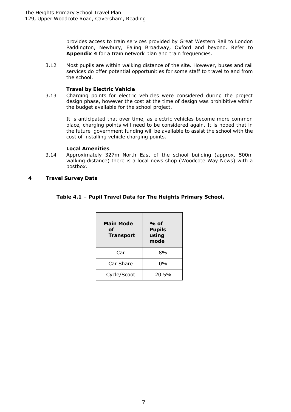provides access to train services provided by Great Western Rail to London Paddington, Newbury, Ealing Broadway, Oxford and beyond. Refer to **Appendix 4** for a train network plan and train frequencies.

3.12 Most pupils are within walking distance of the site. However, buses and rail services do offer potential opportunities for some staff to travel to and from the school.

#### **Travel by Electric Vehicle**

3.13 Charging points for electric vehicles were considered during the project design phase, however the cost at the time of design was prohibitive within the budget available for the school project.

It is anticipated that over time, as electric vehicles become more common place, charging points will need to be considered again. It is hoped that in the future government funding will be available to assist the school with the cost of installing vehicle charging points.

#### **Local Amenities**

3.14 Approximately 327m North East of the school building (approx. 500m walking distance) there is a local news shop (Woodcote Way News) with a postbox.

# <span id="page-6-0"></span>**4 Travel Survey Data**

# **Table 4.1 – Pupil Travel Data for The Heights Primary School,**

| <b>Main Mode</b><br>Ωf<br><b>Transport</b> | $%$ of<br><b>Pupils</b><br>using<br>mode |
|--------------------------------------------|------------------------------------------|
| Car                                        | 8%                                       |
| Car Share                                  | 0%                                       |
| Cycle/Scoot                                | 20.5%                                    |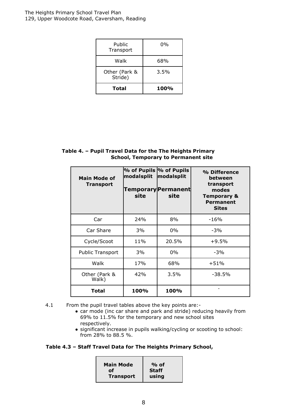| Public<br>Transport      | 0%          |
|--------------------------|-------------|
| Walk                     | 68%         |
| Other (Park &<br>Stride) | 3.5%        |
| <b>Total</b>             | <b>100%</b> |

# **Table 4. – Pupil Travel Data for the The Heights Primary School, Temporary to Permanent site**

| <b>Main Mode of</b><br><b>Transport</b> | modalsplit<br>site | % of Pupils % of Pupils<br>modalsplit<br>Temporary Permanent<br>site | % Difference<br>between<br>transport<br>modes<br><b>Temporary &amp;</b><br><b>Permanent</b><br><b>Sites</b> |
|-----------------------------------------|--------------------|----------------------------------------------------------------------|-------------------------------------------------------------------------------------------------------------|
| Car                                     | 24%                | 8%                                                                   | $-16%$                                                                                                      |
| Car Share                               | 3%                 | 0%                                                                   | $-3%$                                                                                                       |
| Cycle/Scoot                             | 11%                | 20.5%                                                                | $+9.5%$                                                                                                     |
| <b>Public Transport</b>                 | 3%                 | $0\%$                                                                | $-3%$                                                                                                       |
| Walk                                    | 17%                | 68%                                                                  | $+51%$                                                                                                      |
| Other (Park &<br>Walk)                  | 42%                | 3.5%                                                                 | $-38.5%$                                                                                                    |
| Total                                   | 100%               | 100%                                                                 |                                                                                                             |

- 4.1 From the pupil travel tables above the key points are:-
	- car mode (inc car share and park and stride) reducing heavily from 69% to 11.5% for the temporary and new school sites respectively.
	- significant increase in pupils walking/cycling or scooting to school: from 28% to 88.5 %.

# **Table 4.3 – Staff Travel Data for The Heights Primary School,**

| <b>Main Mode</b> | $\%$ of      |
|------------------|--------------|
| Ωf               | <b>Staff</b> |
| <b>Transport</b> | using        |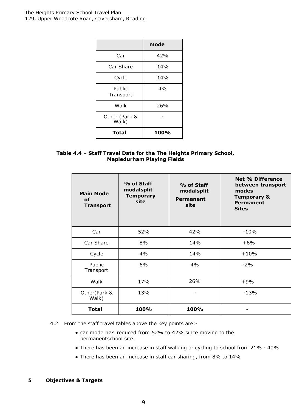|                        | mode |
|------------------------|------|
| Car                    | 42%  |
| Car Share              | 14%  |
| Cycle                  | 14%  |
| Public<br>Transport    | 4%   |
| Walk                   | 26%  |
| Other (Park &<br>Walk) |      |
| <b>Total</b>           | 100% |

# **Table 4.4 – Staff Travel Data for the The Heights Primary School, Mapledurham Playing Fields**

| <b>Main Mode</b><br>οf<br><b>Transport</b> | % of Staff<br>modalsplit<br><b>Temporary</b><br>site | % of Staff<br>modalsplit<br><b>Permanent</b><br>site | <b>Net % Difference</b><br>between transport<br>modes<br><b>Temporary &amp;</b><br><b>Permanent</b><br><b>Sites</b> |
|--------------------------------------------|------------------------------------------------------|------------------------------------------------------|---------------------------------------------------------------------------------------------------------------------|
| Car                                        | 52%                                                  | 42%                                                  | $-10%$                                                                                                              |
| Car Share                                  | 8%                                                   | 14%                                                  | $+6%$                                                                                                               |
| Cycle                                      | 4%                                                   | 14%                                                  | $+10%$                                                                                                              |
| Public<br>Transport                        | 6%                                                   | 4%                                                   | $-2%$                                                                                                               |
| Walk                                       | 17%                                                  | 26%                                                  | $+9%$                                                                                                               |
| Other(Park &<br>Walk)                      | 13%                                                  |                                                      | $-13%$                                                                                                              |
| <b>Total</b>                               | 100%                                                 | 100%                                                 |                                                                                                                     |

4.2 From the staff travel tables above the key points are:-

- car mode has reduced from 52% to 42% since moving to the permanent school site.
- There has been an increase in staff walking or cycling to school from 21% 40%
- There has been an increase in staff car sharing, from 8% to 14%

#### <span id="page-8-0"></span>**5 Objectives & Targets**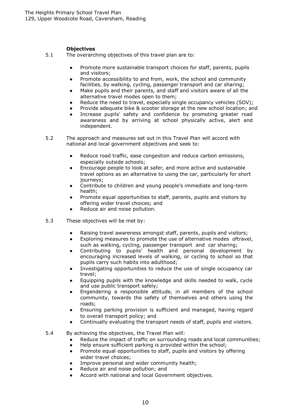#### **Objectives**

- 5.1 The overarching objectives of this travel plan are to:
	- Promote more sustainable transport choices for staff, parents, pupils and visitors;
	- Promote accessibility to and from, work, the school and community facilities, by walking, cycling, passenger transport and car sharing;
	- Make pupils and their parents, and staff and visitors aware of all the alternative travel modes open to them;
	- Reduce the need to travel, especially single occupancy vehicles (SOV);
	- Provide adequate bike & scooter storage at the new school location; and
	- Increase pupils' safety and confidence by promoting greater road awareness and by arriving at school physically active, alert and independent.
- 5.2 The approach and measures set out in this Travel Plan will accord with national and local government objectives and seek to:
	- Reduce road traffic, ease congestion and reduce carbon emissions, especially outside schools;
	- Encourage people to look at safer, and more active and sustainable travel options as an alternative to using the car, particularly for short journeys;
	- Contribute to children and young people's immediate and long-term health;
	- Promote equal opportunities to staff, parents, pupils and visitors by offering wider travel choices; and
	- Reduce air and noise pollution.
- 5.3 These objectives will be met by:
	- Raising travel awareness amongst staff, parents, pupils and visitors;
	- Exploring measures to promote the use of alternative modes oftravel, such as walking, cycling, passenger transport and car sharing;
	- Contributing to pupils' health and personal development by encouraging increased levels of walking, or cycling to school so that pupils carry such habits into adulthood;
	- Investigating opportunities to reduce the use of single occupancy car travel;
	- Equipping pupils with the knowledge and skills needed to walk, cycle and use public transport safely;
	- Engendering a responsible attitude, in all members of the school community, towards the safety of themselves and others using the roads;
	- Ensuring parking provision is sufficient and managed, having regard to overall transport policy; and
	- Continually evaluating the transport needs of staff, pupils and visitors.
- 5.4 By achieving the objectives, the Travel Plan will:
	- Reduce the impact of traffic on surrounding roads and local communities;
	- Help ensure sufficient parking is provided within the school;
	- Promote equal opportunities to staff, pupils and visitors by offering wider travel choices;
	- Improve personal and wider community health;
	- Reduce air and noise pollution; and
	- Accord with national and local Government objectives.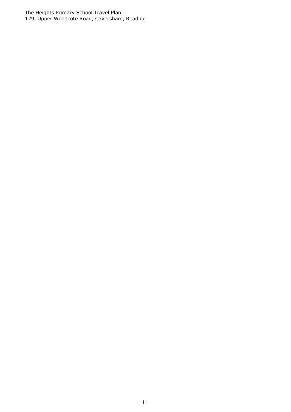The Heights Primary School Travel Plan 129, Upper Woodcote Road, Caversham, Reading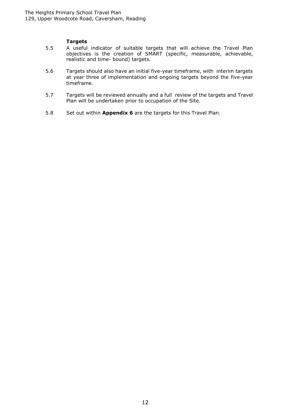#### **Targets**

- 5.5 A useful indicator of suitable targets that will achieve the Travel Plan objectives is the creation of SMART (specific, measurable, achievable, realistic and time- bound) targets.
- 5.6 Targets should also have an initial five-year timeframe, with interim targets at year three of implementation and ongoing targets beyond the five-year timeframe.
- 5.7 Targets will be reviewed annually and a full review of the targets and Travel Plan will be undertaken prior to occupation of the Site.
- 5.8 Set out within **Appendix 6** are the targets for this Travel Plan.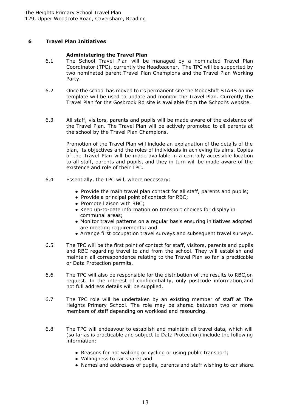# <span id="page-12-1"></span><span id="page-12-0"></span>**6 Travel Plan Initiatives**

#### **Administering the Travel Plan**

- 6.1 The School Travel Plan will be managed by a nominated Travel Plan Coordinator (TPC), currently the Headteacher. The TPC will be supported by two nominated parent Travel Plan Champions and the Travel Plan Working Party.
- 6.2 Once the school has moved to its permanent site the ModeShift STARS online template will be used to update and monitor the Travel Plan. Currently the Travel Plan for the Gosbrook Rd site is available from the School's website.
- 6.3 All staff, visitors, parents and pupils will be made aware of the existence of the Travel Plan. The Travel Plan will be actively promoted to all parents at the school by the Travel Plan Champions.

Promotion of the Travel Plan will include an explanation of the details of the plan, its objectives and the roles of individuals in achieving its aims. Copies of the Travel Plan will be made available in a centrally accessible location to all staff, parents and pupils, and they in turn will be made aware of the existence and role of their TPC.

- 6.4 Essentially, the TPC will, where necessary:
	- Provide the main travel plan contact for all staff, parents and pupils;
	- Provide a principal point of contact for RBC;
	- Promote liaison with RBC;
	- Keep up-to-date information on transport choices for display in communal areas;
	- Monitor travel patterns on a regular basis ensuring initiatives adopted are meeting requirements; and
	- Arrange first occupation travel surveys and subsequent travel surveys.
- 6.5 The TPC will be the first point of contact for staff, visitors, parents and pupils and RBC regarding travel to and from the school. They will establish and maintain all correspondence relating to the Travel Plan so far is practicable or Data Protection permits.
- 6.6 The TPC will also be responsible for the distribution of the results to RBC,on request. In the interest of confidentiality, only postcode information,and not full address details will be supplied.
- 6.7 The TPC role will be undertaken by an existing member of staff at The Heights Primary School. The role may be shared between two or more members of staff depending on workload and resourcing.
- 6.8 The TPC will endeavour to establish and maintain all travel data, which will (so far as is practicable and subject to Data Protection) include the following information:
	- Reasons for not walking or cycling or using public transport;
	- Willingness to car share; and
	- Names and addresses of pupils, parents and staff wishing to car share.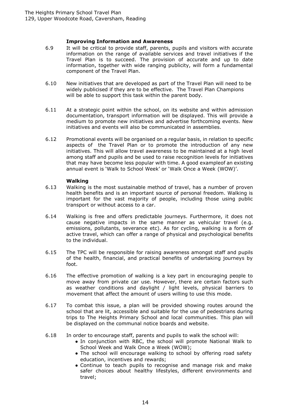#### **Improving Information and Awareness**

- 6.9 It will be critical to provide staff, parents, pupils and visitors with accurate information on the range of available services and travel initiatives if the Travel Plan is to succeed. The provision of accurate and up to date information, together with wide ranging publicity, will form a fundamental component of the Travel Plan.
- 6.10 New initiatives that are developed as part of the Travel Plan will need to be widely publicised if they are to be effective. The Travel Plan Champions will be able to support this task within the parent body.
- 6.11 At a strategic point within the school, on its website and within admission documentation, transport information will be displayed. This will provide a medium to promote new initiatives and advertise forthcoming events. New initiatives and events will also be communicated in assemblies.
- 6.12 Promotional events will be organised on a regular basis, in relation to specific aspects of the Travel Plan or to promote the introduction of any new initiatives. This will allow travel awareness to be maintained at a high level among staff and pupils and be used to raise recognition levels for initiatives that may have become less popular with time. A good exampleof an existing annual event is 'Walk to School Week' or 'Walk Once a Week (WOW)'.

#### **Walking**

- 6.13 Walking is the most sustainable method of travel, has a number of proven health benefits and is an important source of personal freedom. Walking is important for the vast majority of people, including those using public transport or without access to a car.
- 6.14 Walking is free and offers predictable journeys. Furthermore, it does not cause negative impacts in the same manner as vehicular travel (e.g. emissions, pollutants, severance etc). As for cycling, walking is a form of active travel, which can offer a range of physical and psychological benefits to the individual.
- 6.15 The TPC will be responsible for raising awareness amongst staff and pupils of the health, financial, and practical benefits of undertaking journeys by foot.
- 6.16 The effective promotion of walking is a key part in encouraging people to move away from private car use. However, there are certain factors such as weather conditions and daylight / light levels, physical barriers to movement that affect the amount of users willing to use this mode.
- 6.17 To combat this issue, a plan will be provided showing routes around the school that are lit, accessible and suitable for the use of pedestrians during trips to The Heights Primary School and local communities. This plan will be displayed on the communal notice boards and website.
- 6.18 In order to encourage staff, parents and pupils to walk the school will:
	- In conjunction with RBC, the school will promote National Walk to School Week and Walk Once a Week (WOW);
	- The school will encourage walking to school by offering road safety education, incentives and rewards;
	- Continue to teach pupils to recognise and manage risk and make safer choices about healthy lifestyles, different environments and travel;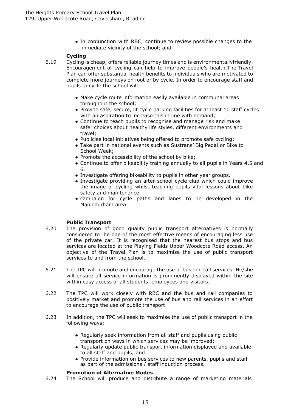• In conjunction with RBC, continue to review possible changes to the immediate vicinity of the school; and

#### **Cycling**

- 6.19 Cycling is cheap, offers reliable journey times and is environmentallyfriendly. Encouragement of cycling can help to improve people's health.The Travel Plan can offer substantial health benefits to individuals who are motivated to complete more journeys on foot or by cycle. In order to encourage staff and pupils to cycle the school will:
	- Make cycle route information easily available in communal areas throughout the school;
	- Provide safe, secure, lit cycle parking facilities for at least 10 staff cycles with an aspiration to increase this in line with demand;
	- Continue to teach pupils to recognise and manage risk and make safer choices about healthy life styles, different environments and travel;
	- Publicise local initiatives being offered to promote safe cycling;
	- Take part in national events such as Sustrans' Big Pedal or Bike to School Week;
	- Promote the accessibility of the school by bike;
	- Continue to offer bikeability training annually to all pupils in Years 4,5 and 6.
	- Investigate offering bikeability to pupils in other year groups.
	- Investigate providing an after-school cycle club which could improve the image of cycling whilst teaching pupils vital lessons about bike safety and maintenance.
	- campaign for cycle paths and lanes to be developed in the Mapledurham area.

# **Public Transport**

- 6.20 The provision of good quality public transport alternatives is normally considered to be one of the most effective means of encouraging less use of the private car. It is recognised that the nearest bus stops and bus services are located at the Playing Fields Upper Woodcote Road access. An objective of the Travel Plan is to maximise the use of public transport services to and from the school.
- 6.21 The TPC will promote and encourage the use of bus and rail services. He/she will ensure all service information is prominently displayed within the site within easy access of all students, employees and visitors.
- 6.22 The TPC will work closely with RBC and the bus and rail companies to positively market and promote the use of bus and rail services in an effort to encourage the use of public transport.
- 6.23 In addition, the TPC will seek to maximise the use of public transport in the following ways:
	- Regularly seek information from all staff and pupils using public transport on ways in which services may be improved;
	- Regularly update public transport information displayed and available to all staff and pupils; and
	- Provide information on bus services to new parents, pupils and staff as part of the admissions / staff induction process.

#### **Promotion of Alternative Modes**

6.24 The School will produce and distribute a range of marketing materials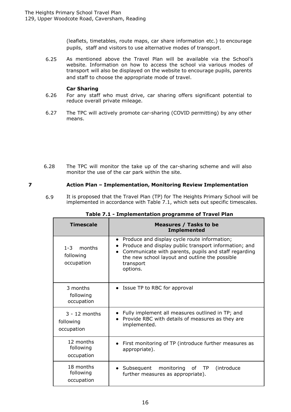(leaflets, timetables, route maps, car share information etc.) to encourage pupils, staff and visitors to use alternative modes of transport.

6.25 As mentioned above the Travel Plan will be available via the School's website. Information on how to access the school via various modes of transport will also be displayed on the website to encourage pupils, parents and staff to choose the appropriate mode of travel.

# **Car Sharing**

- 6.26 For any staff who must drive, car sharing offers significant potential to reduce overall private mileage.
- 6.27 The TPC will actively promote car-sharing (COVID permitting) by any other means.
- 6.28 The TPC will monitor the take up of the car-sharing scheme and will also monitor the use of the car park within the site.

# **7 Action Plan – Implementation, Monitoring Review Implementation**

6.9 It is proposed that the Travel Plan (TP) for The Heights Primary School will be implemented in accordance with Table 7.1, which sets out specific timescales.

| <b>Timescale</b>                                                                                                                                                                                                                                                                    | <b>Measures / Tasks to be</b><br><b>Implemented</b>                                                                               |
|-------------------------------------------------------------------------------------------------------------------------------------------------------------------------------------------------------------------------------------------------------------------------------------|-----------------------------------------------------------------------------------------------------------------------------------|
| Produce and display cycle route information;<br>Produce and display public transport information; and<br>$1-3$ months<br>Communicate with parents, pupils and staff regarding<br>following<br>the new school layout and outline the possible<br>occupation<br>transport<br>options. |                                                                                                                                   |
| 3 months<br>following<br>occupation                                                                                                                                                                                                                                                 | • Issue TP to RBC for approval                                                                                                    |
| $3 - 12$ months<br>following<br>occupation                                                                                                                                                                                                                                          | Fully implement all measures outlined in TP; and<br>$\bullet$<br>Provide RBC with details of measures as they are<br>implemented. |
| 12 months<br>following<br>occupation                                                                                                                                                                                                                                                | First monitoring of TP (introduce further measures as<br>appropriate).                                                            |
| 18 months<br>following<br>occupation                                                                                                                                                                                                                                                | <b>TP</b><br>Subsequent monitoring<br>(introduce)<br>of<br>further measures as appropriate).                                      |

| Table 7.1 - Implementation programme of Travel Plan |  |
|-----------------------------------------------------|--|
|-----------------------------------------------------|--|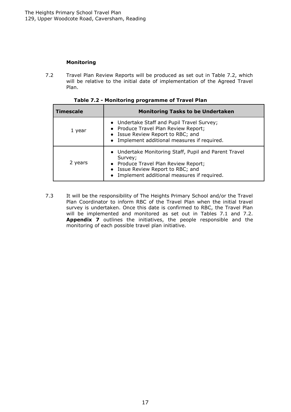# **Monitoring**

7.2 Travel Plan Review Reports will be produced as set out in Table 7.2, which will be relative to the initial date of implementation of the Agreed Travel Plan.

| <b>Timescale</b> | <b>Monitoring Tasks to be Undertaken</b>                                                                                                                                                      |
|------------------|-----------------------------------------------------------------------------------------------------------------------------------------------------------------------------------------------|
| 1 year           | • Undertake Staff and Pupil Travel Survey;<br>• Produce Travel Plan Review Report;<br>• Issue Review Report to RBC; and<br>• Implement additional measures if required.                       |
| 2 years          | • Undertake Monitoring Staff, Pupil and Parent Travel<br>Survey;<br>• Produce Travel Plan Review Report;<br>• Issue Review Report to RBC; and<br>• Implement additional measures if required. |

7.3 It will be the responsibility of The Heights Primary School and/or the Travel Plan Coordinator to inform RBC of the Travel Plan when the initial travel survey is undertaken. Once this date is confirmed to RBC, the Travel Plan will be implemented and monitored as set out in Tables 7.1 and 7.2. **Appendix 7** outlines the initiatives, the people responsible and the monitoring of each possible travel plan initiative.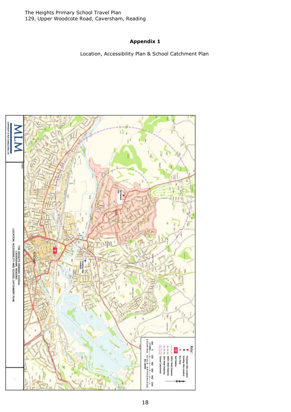<span id="page-17-0"></span>The Heights Primary School Travel Plan 129, Upper Woodcote Road, Caversham, Reading

# **Appendix 1**

Location, Accessibility Plan & School Catchment Plan

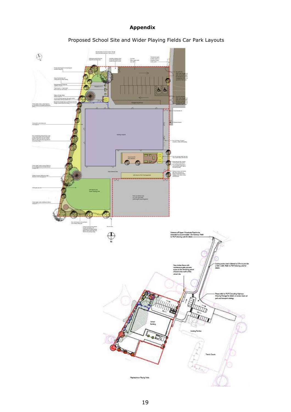# **Appendix**

Proposed School Site and Wider Playing Fields Car Park Layouts

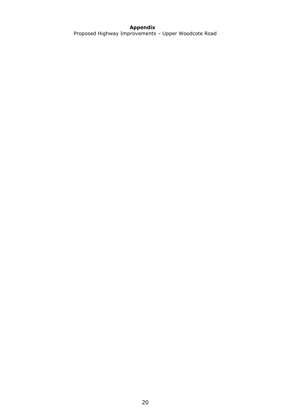#### **Appendix** Proposed Highway Improvements - Upper Woodcote Road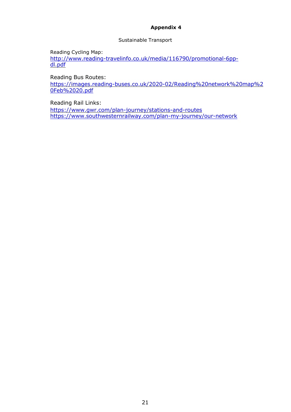# **Appendix 4**

Sustainable Transport

<span id="page-20-0"></span>Reading Cycling Map: [http://www.reading-travelinfo.co.uk/media/116790/promotional-6pp](http://www.reading-travelinfo.co.uk/media/116790/promotional-6pp-dl.pdf)[dl.pdf](http://www.reading-travelinfo.co.uk/media/116790/promotional-6pp-dl.pdf)

Reading Bus Routes:

[https://images.reading-buses.co.uk/2020-02/Reading%20network%20map%2](https://images.reading-buses.co.uk/2020-02/Reading%20network%20map%20Feb%2020.pdf) [0Feb%2020.pdf](https://images.reading-buses.co.uk/2020-02/Reading%20network%20map%20Feb%2020.pdf)

Reading Rail Links:

<https://www.gwr.com/plan-journey/stations-and-routes> <https://www.southwesternrailway.com/plan-my-journey/our-network>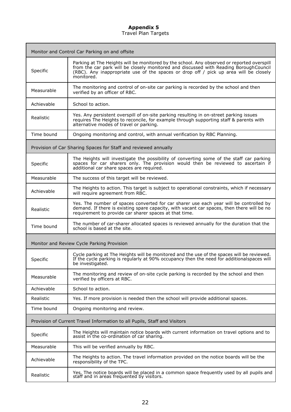#### **Appendix 5** Travel Plan Targets

<span id="page-21-0"></span>

| Monitor and Control Car Parking on and offsite                            |                                                                                                                                                                                                                                                                                            |  |  |
|---------------------------------------------------------------------------|--------------------------------------------------------------------------------------------------------------------------------------------------------------------------------------------------------------------------------------------------------------------------------------------|--|--|
| Specific                                                                  | Parking at The Heights will be monitored by the school. Any observed or reported overspill<br>from the car park will be closely monitored and discussed with Reading BoroughCouncil<br>(RBC). Any inappropriate use of the spaces or drop off / pick up area will be closely<br>monitored. |  |  |
| Measurable                                                                | The monitoring and control of on-site car parking is recorded by the school and then<br>verified by an officer of RBC.                                                                                                                                                                     |  |  |
| Achievable                                                                | School to action.                                                                                                                                                                                                                                                                          |  |  |
| Realistic                                                                 | Yes. Any persistent overspill of on-site parking resulting in on-street parking issues<br>requires The Heights to reconcile, for example through supporting staff & parents with<br>alternative modes of travel or parking.                                                                |  |  |
| Time bound                                                                | Ongoing monitoring and control, with annual verification by RBC Planning.                                                                                                                                                                                                                  |  |  |
|                                                                           | Provision of Car Sharing Spaces for Staff and reviewed annually                                                                                                                                                                                                                            |  |  |
| Specific                                                                  | The Heights will investigate the possibility of converting some of the staff car parking<br>spaces for car sharers only. The provision would then be reviewed to ascertain if<br>additional car share spaces are required.                                                                 |  |  |
| Measurable                                                                | The success of this target will be reviewed.                                                                                                                                                                                                                                               |  |  |
| Achievable                                                                | The Heights to action. This target is subject to operational constraints, which if necessary<br>will require agreement from RBC.                                                                                                                                                           |  |  |
| Realistic                                                                 | Yes. The number of spaces converted for car sharer use each year will be controlled by<br>demand. If there is existing spare capacity, with vacant car spaces, then there will be no<br>requirement to provide car sharer spaces at that time.                                             |  |  |
| Time bound                                                                | The number of car-sharer allocated spaces is reviewed annually for the duration that the<br>school is based at the site.                                                                                                                                                                   |  |  |
| Monitor and Review Cycle Parking Provision                                |                                                                                                                                                                                                                                                                                            |  |  |
| Specific                                                                  | Cycle parking at The Heights will be monitored and the use of the spaces will be reviewed.<br>If the cycle parking is regularly at 90% occupancy then the need for additional spaces will<br>be investigated.                                                                              |  |  |
| Measurable                                                                | The monitoring and review of on-site cycle parking is recorded by the school and then<br>verified by officers at RBC.                                                                                                                                                                      |  |  |
| Achievable                                                                | School to action.                                                                                                                                                                                                                                                                          |  |  |
| Realistic                                                                 | Yes. If more provision is needed then the school will provide additional spaces.                                                                                                                                                                                                           |  |  |
| Time bound                                                                | Ongoing monitoring and review.                                                                                                                                                                                                                                                             |  |  |
| Provision of Current Travel Information to all Pupils, Staff and Visitors |                                                                                                                                                                                                                                                                                            |  |  |
| Specific                                                                  | The Heights will maintain notice boards with current information on travel options and to<br>assist in the co-ordination of car sharing.                                                                                                                                                   |  |  |
| Measurable                                                                | This will be verified annually by RBC.                                                                                                                                                                                                                                                     |  |  |
| Achievable                                                                | The Heights to action. The travel information provided on the notice boards will be the<br>responsibility of the TPC.                                                                                                                                                                      |  |  |
| Realistic                                                                 | Yes. The notice boards will be placed in a common space frequently used by all pupils and staff and in areas frequented by visitors.                                                                                                                                                       |  |  |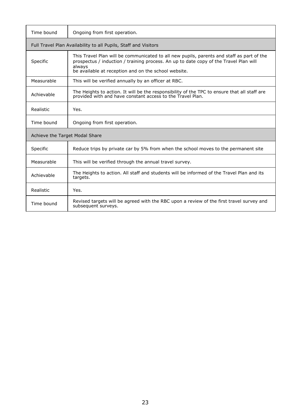| Time bound                                                      | Ongoing from first operation.                                                                                                                                                                                                                        |  |  |  |
|-----------------------------------------------------------------|------------------------------------------------------------------------------------------------------------------------------------------------------------------------------------------------------------------------------------------------------|--|--|--|
| Full Travel Plan Availability to all Pupils, Staff and Visitors |                                                                                                                                                                                                                                                      |  |  |  |
| Specific                                                        | This Travel Plan will be communicated to all new pupils, parents and staff as part of the<br>prospectus / induction / training process. An up to date copy of the Travel Plan will<br>always<br>be available at reception and on the school website. |  |  |  |
| Measurable                                                      | This will be verified annually by an officer at RBC.                                                                                                                                                                                                 |  |  |  |
| Achievable                                                      | The Heights to action. It will be the responsibility of the TPC to ensure that all staff are<br>provided with and have constant access to the Travel Plan.                                                                                           |  |  |  |
| Realistic                                                       | Yes.                                                                                                                                                                                                                                                 |  |  |  |
| Time bound                                                      | Ongoing from first operation.                                                                                                                                                                                                                        |  |  |  |
|                                                                 | Achieve the Target Modal Share                                                                                                                                                                                                                       |  |  |  |
| Specific                                                        | Reduce trips by private car by 5% from when the school moves to the permanent site                                                                                                                                                                   |  |  |  |
| Measurable                                                      | This will be verified through the annual travel survey.                                                                                                                                                                                              |  |  |  |
| Achievable                                                      | The Heights to action. All staff and students will be informed of the Travel Plan and its<br>targets.                                                                                                                                                |  |  |  |
| Realistic                                                       | Yes.                                                                                                                                                                                                                                                 |  |  |  |
| Time bound                                                      | Revised targets will be agreed with the RBC upon a review of the first travel survey and<br>subsequent surveys.                                                                                                                                      |  |  |  |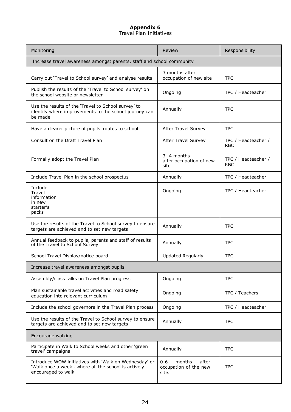#### **Appendix 6** Travel Plan Initiatives

<span id="page-23-0"></span>

| Monitoring                                                                                                                          | Review                                                       | Responsibility                    |
|-------------------------------------------------------------------------------------------------------------------------------------|--------------------------------------------------------------|-----------------------------------|
| Increase travel awareness amongst parents, staff and school community                                                               |                                                              |                                   |
| Carry out 'Travel to School survey' and analyse results                                                                             | 3 months after<br>occupation of new site                     | <b>TPC</b>                        |
| Publish the results of the 'Travel to School survey' on<br>the school website or newsletter                                         | Ongoing                                                      | TPC / Headteacher                 |
| Use the results of the 'Travel to School survey' to<br>identify where improvements to the school journey can<br>be made             | Annually                                                     | <b>TPC</b>                        |
| Have a clearer picture of pupils' routes to school                                                                                  | After Travel Survey                                          | <b>TPC</b>                        |
| Consult on the Draft Travel Plan                                                                                                    | After Travel Survey                                          | TPC / Headteacher /<br><b>RBC</b> |
| Formally adopt the Travel Plan                                                                                                      | $3 - 4$ months<br>after occupation of new<br>site            | TPC / Headteacher /<br><b>RBC</b> |
| Include Travel Plan in the school prospectus                                                                                        | Annually                                                     | TPC / Headteacher                 |
| Include<br>Travel<br>information<br>in new<br>starter's<br>packs                                                                    | Ongoing                                                      | TPC / Headteacher                 |
| Use the results of the Travel to School survey to ensure<br>targets are achieved and to set new targets                             | Annually                                                     | <b>TPC</b>                        |
| Annual feedback to pupils, parents and staff of results<br>of the Travel to School Survey                                           | Annually                                                     | <b>TPC</b>                        |
| School Travel Display/notice board                                                                                                  | <b>Updated Regularly</b>                                     | <b>TPC</b>                        |
| Increase travel awareness amongst pupils                                                                                            |                                                              |                                   |
| Assembly/class talks on Travel Plan progress                                                                                        | Ongoing                                                      | <b>TPC</b>                        |
| Plan sustainable travel activities and road safety<br>education into relevant curriculum                                            | Ongoing                                                      | TPC / Teachers                    |
| Include the school governors in the Travel Plan process                                                                             | Ongoing                                                      | TPC / Headteacher                 |
| Use the results of the Travel to School survey to ensure<br>targets are achieved and to set new targets                             | Annually                                                     | <b>TPC</b>                        |
| Encourage walking                                                                                                                   |                                                              |                                   |
| Participate in Walk to School weeks and other 'green<br>travel' campaigns                                                           | Annually                                                     | <b>TPC</b>                        |
| Introduce WOW initiatives with 'Walk on Wednesday' or<br>'Walk once a week', where all the school is actively<br>encouraged to walk | $0 - 6$<br>months<br>after<br>occupation of the new<br>site. | <b>TPC</b>                        |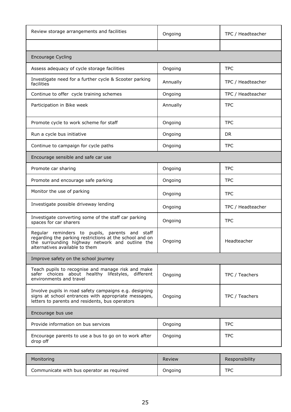| Review storage arrangements and facilities                                                                                                                                                     | Ongoing  | TPC / Headteacher |
|------------------------------------------------------------------------------------------------------------------------------------------------------------------------------------------------|----------|-------------------|
|                                                                                                                                                                                                |          |                   |
| Encourage Cycling                                                                                                                                                                              |          |                   |
| Assess adequacy of cycle storage facilities                                                                                                                                                    | Ongoing  | <b>TPC</b>        |
| Investigate need for a further cycle & Scooter parking<br>facilities                                                                                                                           | Annually | TPC / Headteacher |
| Continue to offer cycle training schemes                                                                                                                                                       | Ongoing  | TPC / Headteacher |
| Participation in Bike week                                                                                                                                                                     | Annually | <b>TPC</b>        |
| Promote cycle to work scheme for staff                                                                                                                                                         | Ongoing  | <b>TPC</b>        |
| Run a cycle bus initiative                                                                                                                                                                     | Ongoing  | <b>DR</b>         |
| Continue to campaign for cycle paths                                                                                                                                                           | Ongoing  | <b>TPC</b>        |
| Encourage sensible and safe car use                                                                                                                                                            |          |                   |
| Promote car sharing                                                                                                                                                                            | Ongoing  | <b>TPC</b>        |
| Promote and encourage safe parking                                                                                                                                                             | Ongoing  | <b>TPC</b>        |
| Monitor the use of parking                                                                                                                                                                     | Ongoing  | <b>TPC</b>        |
| Investigate possible driveway lending                                                                                                                                                          | Ongoing  | TPC / Headteacher |
| Investigate converting some of the staff car parking<br>spaces for car sharers                                                                                                                 | Ongoing  | <b>TPC</b>        |
| Regular reminders to pupils, parents and staff<br>regarding the parking restrictions at the school and on<br>the surrounding highway network and outline the<br>alternatives available to them | Ongoing  | Headteacher       |
| Improve safety on the school journey                                                                                                                                                           |          |                   |
| Teach pupils to recognise and manage risk and make<br>safer choices about healthy lifestyles, different<br>environments and travel                                                             | Ongoing  | TPC / Teachers    |
| Involve pupils in road safety campaigns e.g. designing<br>signs at school entrances with appropriate messages,<br>letters to parents and residents, bus operators                              | Ongoing  | TPC / Teachers    |
| Encourage bus use                                                                                                                                                                              |          |                   |
| Provide information on bus services                                                                                                                                                            | Ongoing  | <b>TPC</b>        |
| Encourage parents to use a bus to go on to work after<br>drop off                                                                                                                              | Ongoing  | <b>TPC</b>        |
|                                                                                                                                                                                                |          |                   |

| Monitoring                                | Review  | Responsibility |
|-------------------------------------------|---------|----------------|
| Communicate with bus operator as required | Ongoing | <b>TPC</b>     |